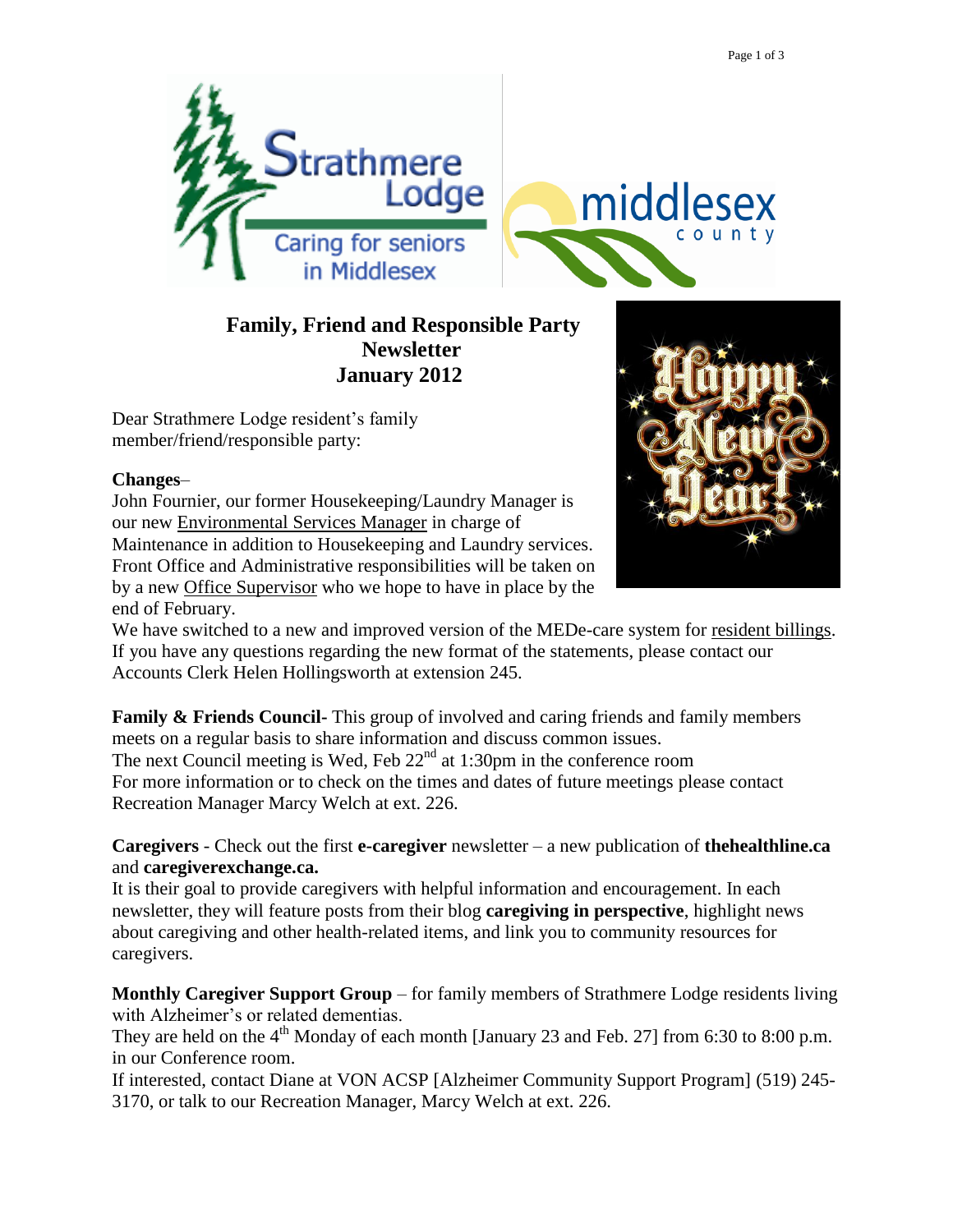

## **Family, Friend and Responsible Party Newsletter January 2012**

Dear Strathmere Lodge resident's family member/friend/responsible party:

## **Changes**–

John Fournier, our former Housekeeping/Laundry Manager is our new Environmental Services Manager in charge of Maintenance in addition to Housekeeping and Laundry services. Front Office and Administrative responsibilities will be taken on by a new Office Supervisor who we hope to have in place by the end of February.



We have switched to a new and improved version of the MEDe-care system for resident billings. If you have any questions regarding the new format of the statements, please contact our Accounts Clerk Helen Hollingsworth at extension 245.

**Family & Friends Council-** This group of involved and caring friends and family members meets on a regular basis to share information and discuss common issues. The next Council meeting is Wed, Feb  $22<sup>nd</sup>$  at 1:30pm in the conference room For more information or to check on the times and dates of future meetings please contact Recreation Manager Marcy Welch at ext. 226.

**Caregivers** - Check out the first **e-caregiver** newsletter – a new publication of **thehealthline.ca**  and **caregiverexchange.ca.**

It is their goal to provide caregivers with helpful information and encouragement. In each newsletter, they will feature posts from their blog **caregiving in perspective**, highlight news about caregiving and other health-related items, and link you to community resources for caregivers.

**Monthly Caregiver Support Group** – for family members of Strathmere Lodge residents living with Alzheimer's or related dementias.

They are held on the  $4^{th}$  Monday of each month [January 23 and Feb. 27] from 6:30 to 8:00 p.m. in our Conference room.

If interested, contact Diane at VON ACSP [Alzheimer Community Support Program] (519) 245- 3170, or talk to our Recreation Manager, Marcy Welch at ext. 226.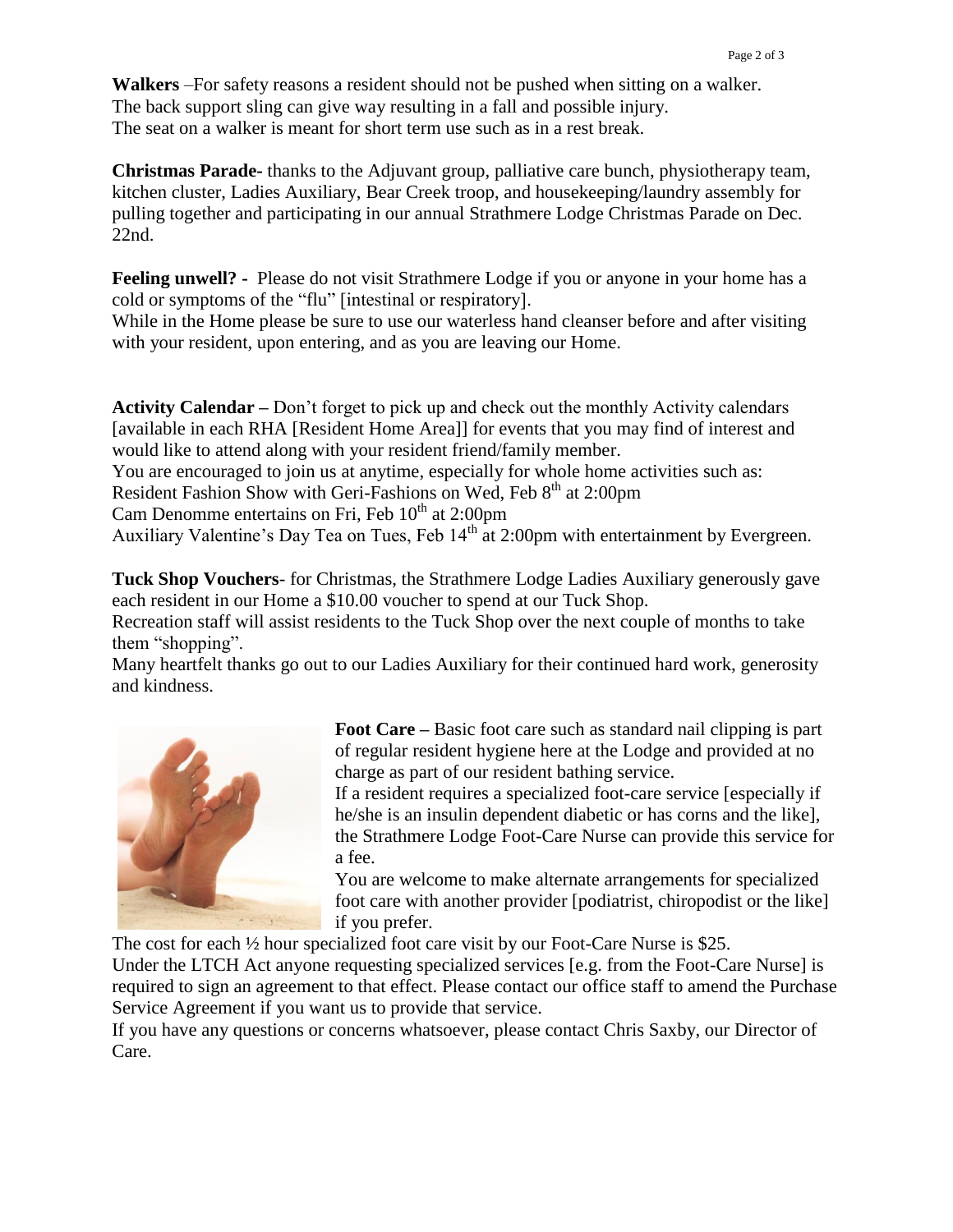**Walkers** –For safety reasons a resident should not be pushed when sitting on a walker. The back support sling can give way resulting in a fall and possible injury. The seat on a walker is meant for short term use such as in a rest break.

**Christmas Parade-** thanks to the Adjuvant group, palliative care bunch, physiotherapy team, kitchen cluster, Ladies Auxiliary, Bear Creek troop, and housekeeping/laundry assembly for pulling together and participating in our annual Strathmere Lodge Christmas Parade on Dec. 22nd.

**Feeling unwell? -** Please do not visit Strathmere Lodge if you or anyone in your home has a cold or symptoms of the "flu" [intestinal or respiratory].

While in the Home please be sure to use our waterless hand cleanser before and after visiting with your resident, upon entering, and as you are leaving our Home.

**Activity Calendar –** Don't forget to pick up and check out the monthly Activity calendars [available in each RHA [Resident Home Area]] for events that you may find of interest and would like to attend along with your resident friend/family member.

You are encouraged to join us at anytime, especially for whole home activities such as:

Resident Fashion Show with Geri-Fashions on Wed, Feb 8<sup>th</sup> at 2:00pm

Cam Denomme entertains on Fri, Feb  $10^{th}$  at 2:00pm

Auxiliary Valentine's Day Tea on Tues, Feb 14<sup>th</sup> at 2:00pm with entertainment by Evergreen.

**Tuck Shop Vouchers**- for Christmas, the Strathmere Lodge Ladies Auxiliary generously gave each resident in our Home a \$10.00 voucher to spend at our Tuck Shop.

Recreation staff will assist residents to the Tuck Shop over the next couple of months to take them "shopping".

Many heartfelt thanks go out to our Ladies Auxiliary for their continued hard work, generosity and kindness.



**Foot Care –** Basic foot care such as standard nail clipping is part of regular resident hygiene here at the Lodge and provided at no charge as part of our resident bathing service.

If a resident requires a specialized foot-care service [especially if he/she is an insulin dependent diabetic or has corns and the like], the Strathmere Lodge Foot-Care Nurse can provide this service for a fee.

You are welcome to make alternate arrangements for specialized foot care with another provider [podiatrist, chiropodist or the like] if you prefer.

The cost for each ½ hour specialized foot care visit by our Foot-Care Nurse is \$25.

Under the LTCH Act anyone requesting specialized services [e.g. from the Foot-Care Nurse] is required to sign an agreement to that effect. Please contact our office staff to amend the Purchase Service Agreement if you want us to provide that service.

If you have any questions or concerns whatsoever, please contact Chris Saxby, our Director of Care.